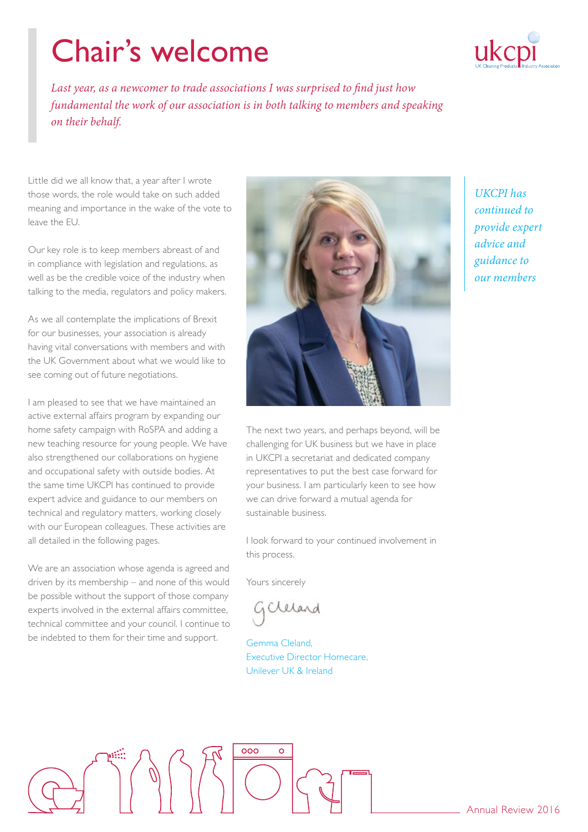# Chair's welcome



Last year, as a newcomer to trade associations I was surprised to find just how *fundamental the work of our association is in both talking to members and speaking on their behalf.*

Little did we all know that, a year after I wrote those words, the role would take on such added meaning and importance in the wake of the vote to leave the EU.

Our key role is to keep members abreast of and in compliance with legislation and regulations, as well as be the credible voice of the industry when talking to the media, regulators and policy makers.

As we all contemplate the implications of Brexit for our businesses, your association is already having vital conversations with members and with the UK Government about what we would like to see coming out of future negotiations.

I am pleased to see that we have maintained an active external affairs program by expanding our home safety campaign with RoSPA and adding a new teaching resource for young people. We have also strengthened our collaborations on hygiene and occupational safety with outside bodies. At the same time UKCPI has continued to provide expert advice and guidance to our members on technical and regulatory matters, working closely with our European colleagues. These activities are all detailed in the following pages.

We are an association whose agenda is agreed and driven by its membership – and none of this would be possible without the support of those company experts involved in the external affairs committee, technical committee and your council. I continue to be indebted to them for their time and support.

 $\int \phi$ 



The next two years, and perhaps beyond, will be challenging for UK business but we have in place in UKCPI a secretariat and dedicated company representatives to put the best case forward for your business. I am particularly keen to see how we can drive forward a mutual agenda for sustainable business.

I look forward to your continued involvement in this process.

Yours sincerely

GClerand

Gemma Cleland, Executive Director Homecare, Unilever UK & Ireland

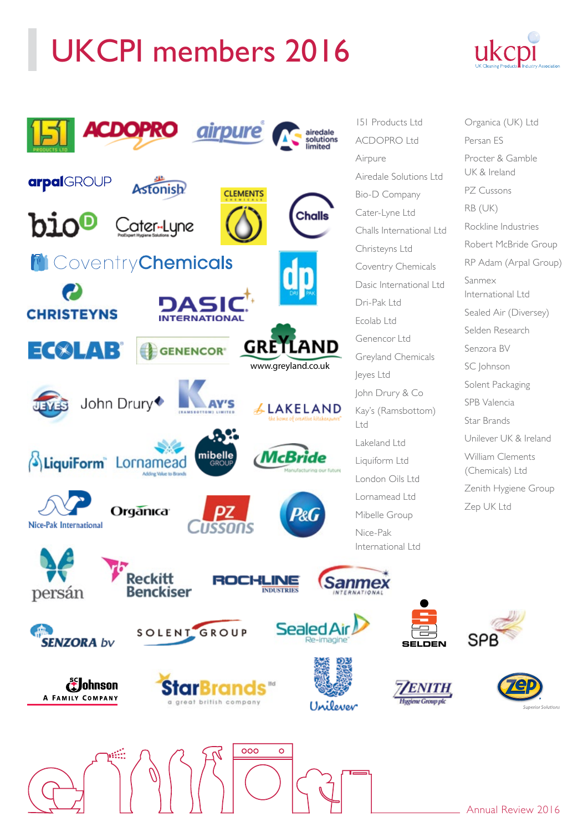# UKCPI members 2016





151 Products Ltd ACDOPRO Ltd Airedale Solutions Ltd Bio-D Company Cater-Lyne Ltd Challs International Ltd Christeyns Ltd Coventry Chemicals Dasic International Ltd Genencor Ltd Greyland Chemicals John Drury & Co Kay's (Ramsbottom) Lakeland Ltd Liquiform Ltd London Oils Ltd Lornamead Ltd Mibelle Group

**SELDEN**

SΡ

Organica (UK) Ltd Persan ES Procter & Gamble UK & Ireland PZ Cussons RB (UK) Rockline Industries Robert McBride Group RP Adam (Arpal Group) Sanmex International Ltd Sealed Air (Diversey) Selden Research Senzora BV SC Johnson Solent Packaging SPB Valencia Star Brands Unilever UK & Ireland William Clements (Chemicals) Ltd Zenith Hygiene Group Zep UK Ltd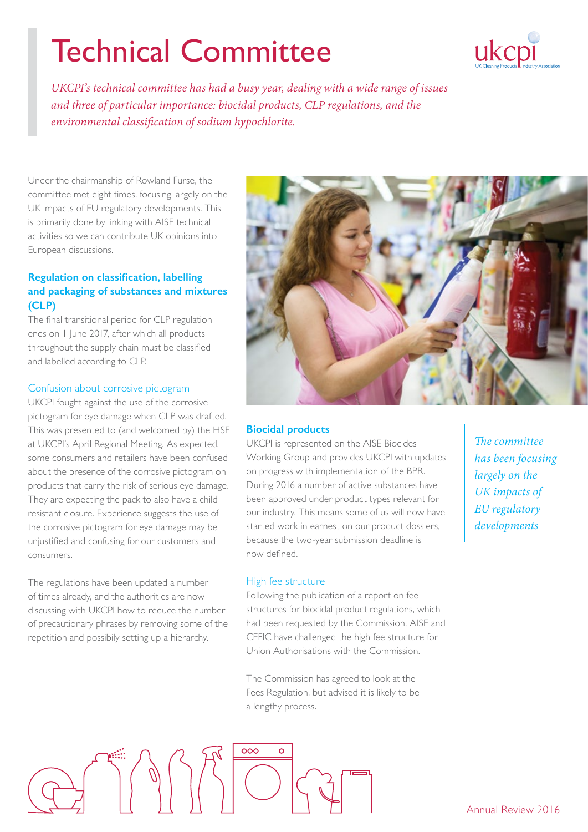# Technical Committee



*UKCPI's technical committee has had a busy year, dealing with a wide range of issues and three of particular importance: biocidal products, CLP regulations, and the environmental classification of sodium hypochlorite.* 

Under the chairmanship of Rowland Furse, the committee met eight times, focusing largely on the UK impacts of EU regulatory developments. This is primarily done by linking with AISE technical activities so we can contribute UK opinions into European discussions.

# **Regulation on classification, labelling and packaging of substances and mixtures (CLP)**

The final transitional period for CLP regulation ends on 1 June 2017, after which all products throughout the supply chain must be classified and labelled according to CLP.

### Confusion about corrosive pictogram

UKCPI fought against the use of the corrosive pictogram for eye damage when CLP was drafted. This was presented to (and welcomed by) the HSE at UKCPI's April Regional Meeting. As expected, some consumers and retailers have been confused about the presence of the corrosive pictogram on products that carry the risk of serious eye damage. They are expecting the pack to also have a child resistant closure. Experience suggests the use of the corrosive pictogram for eye damage may be unjustified and confusing for our customers and consumers.

The regulations have been updated a number of times already, and the authorities are now discussing with UKCPI how to reduce the number of precautionary phrases by removing some of the repetition and possibily setting up a hierarchy.



#### **Biocidal products**

UKCPI is represented on the AISE Biocides Working Group and provides UKCPI with updates on progress with implementation of the BPR. During 2016 a number of active substances have been approved under product types relevant for our industry. This means some of us will now have started work in earnest on our product dossiers, because the two-year submission deadline is now defined.

#### High fee structure

Following the publication of a report on fee structures for biocidal product regulations, which had been requested by the Commission, AISE and CEFIC have challenged the high fee structure for Union Authorisations with the Commission.

The Commission has agreed to look at the Fees Regulation, but advised it is likely to be a lengthy process.

*The committee has been focusing largely on the UK impacts of EU regulatory developments*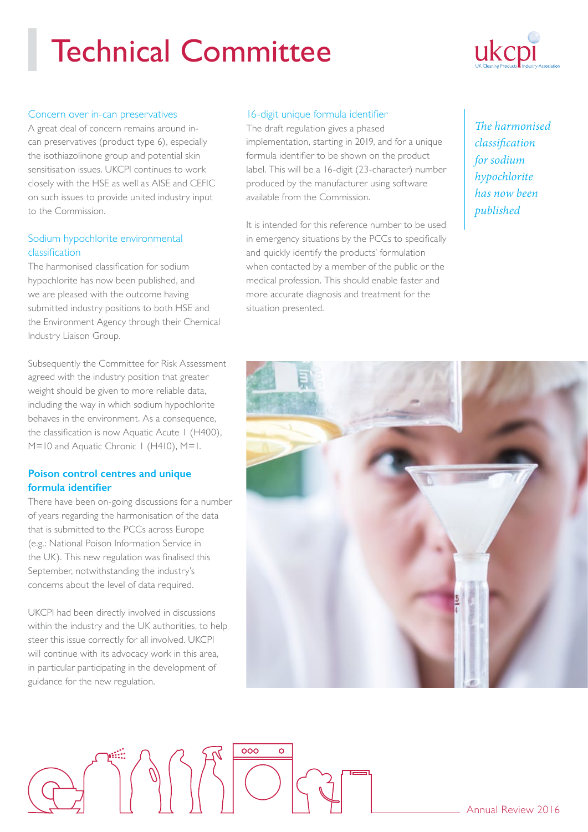# Technical Committee



#### Concern over in-can preservatives

A great deal of concern remains around incan preservatives (product type 6), especially the isothiazolinone group and potential skin sensitisation issues. UKCPI continues to work closely with the HSE as well as AISE and CEFIC on such issues to provide united industry input to the Commission.

### Sodium hypochlorite environmental classification

The harmonised classification for sodium hypochlorite has now been published, and we are pleased with the outcome having submitted industry positions to both HSE and the Environment Agency through their Chemical Industry Liaison Group.

Subsequently the Committee for Risk Assessment agreed with the industry position that greater weight should be given to more reliable data, including the way in which sodium hypochlorite behaves in the environment. As a consequence, the classification is now Aquatic Acute 1 (H400), M=10 and Aquatic Chronic 1 (H410), M=1.

### **Poison control centres and unique formula identifier**

There have been on-going discussions for a number of years regarding the harmonisation of the data that is submitted to the PCCs across Europe (e.g.: National Poison Information Service in the UK). This new regulation was finalised this September, notwithstanding the industry's concerns about the level of data required.

UKCPI had been directly involved in discussions within the industry and the UK authorities, to help steer this issue correctly for all involved. UKCPI will continue with its advocacy work in this area, in particular participating in the development of guidance for the new regulation.

### 16-digit unique formula identifier

The draft regulation gives a phased implementation, starting in 2019, and for a unique formula identifier to be shown on the product label. This will be a 16-digit (23-character) number produced by the manufacturer using software available from the Commission.

It is intended for this reference number to be used in emergency situations by the PCCs to specifically and quickly identify the products' formulation when contacted by a member of the public or the medical profession. This should enable faster and more accurate diagnosis and treatment for the situation presented.

*The harmonised classification for sodium hypochlorite has now been published*

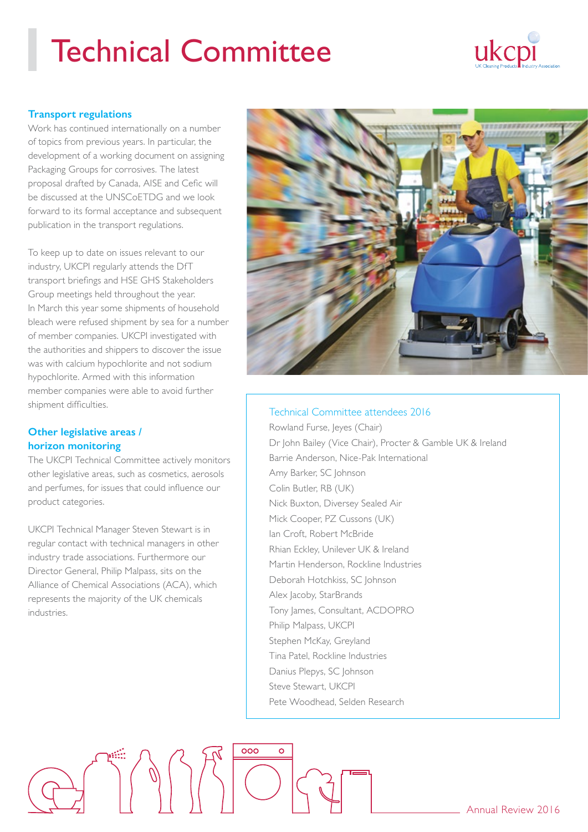# Technical Committee



### **Transport regulations**

Work has continued internationally on a number of topics from previous years. In particular, the development of a working document on assigning Packaging Groups for corrosives. The latest proposal drafted by Canada, AISE and Cefic will be discussed at the UNSCoETDG and we look forward to its formal acceptance and subsequent publication in the transport regulations.

To keep up to date on issues relevant to our industry, UKCPI regularly attends the DfT transport briefings and HSE GHS Stakeholders Group meetings held throughout the year. In March this year some shipments of household bleach were refused shipment by sea for a number of member companies. UKCPI investigated with the authorities and shippers to discover the issue was with calcium hypochlorite and not sodium hypochlorite. Armed with this information member companies were able to avoid further shipment difficulties.

# **Other legislative areas / horizon monitoring**

The UKCPI Technical Committee actively monitors other legislative areas, such as cosmetics, aerosols and perfumes, for issues that could influence our product categories.

UKCPI Technical Manager Steven Stewart is in regular contact with technical managers in other industry trade associations. Furthermore our Director General, Philip Malpass, sits on the Alliance of Chemical Associations (ACA), which represents the majority of the UK chemicals industries.

 $\int$ 



### Technical Committee attendees 2016

Rowland Furse, Jeyes (Chair) Dr John Bailey (Vice Chair), Procter & Gamble UK & Ireland Barrie Anderson, Nice-Pak International Amy Barker, SC Johnson Colin Butler, RB (UK) Nick Buxton, Diversey Sealed Air Mick Cooper, PZ Cussons (UK) Ian Croft, Robert McBride Rhian Eckley, Unilever UK & Ireland Martin Henderson, Rockline Industries Deborah Hotchkiss, SC Johnson Alex Jacoby, StarBrands Tony James, Consultant, ACDOPRO Philip Malpass, UKCPI Stephen McKay, Greyland Tina Patel, Rockline Industries Danius Plepys, SC Johnson Steve Stewart, UKCPI Pete Woodhead, Selden Research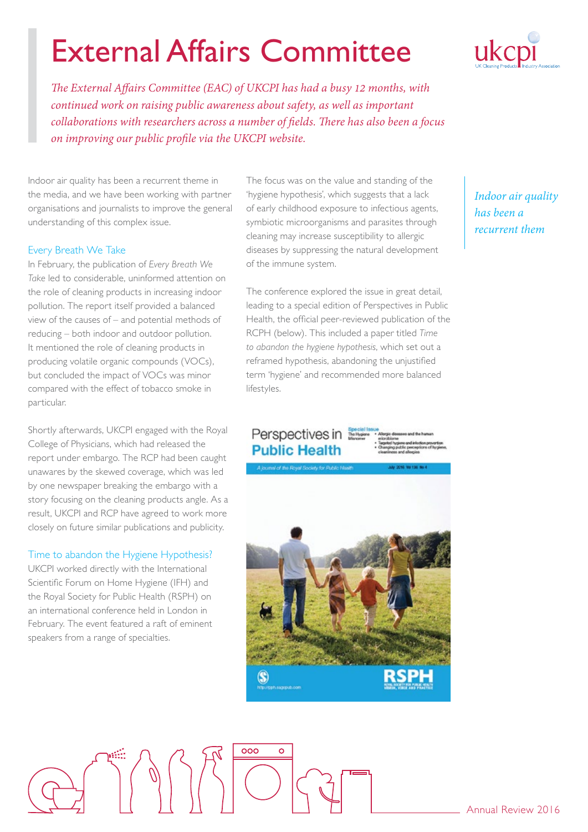# External Affairs Committee

*The External Affairs Committee (EAC) of UKCPI has had a busy 12 months, with continued work on raising public awareness about safety, as well as important collaborations with researchers across a number of fields. There has also been a focus on improving our public profile via the UKCPI website.*

Indoor air quality has been a recurrent theme in the media, and we have been working with partner organisations and journalists to improve the general understanding of this complex issue.

### Every Breath We Take

In February, the publication of *Every Breath We Take* led to considerable, uninformed attention on the role of cleaning products in increasing indoor pollution. The report itself provided a balanced view of the causes of – and potential methods of reducing – both indoor and outdoor pollution. It mentioned the role of cleaning products in producing volatile organic compounds (VOCs), but concluded the impact of VOCs was minor compared with the effect of tobacco smoke in particular.

Shortly afterwards, UKCPI engaged with the Royal College of Physicians, which had released the report under embargo. The RCP had been caught unawares by the skewed coverage, which was led by one newspaper breaking the embargo with a story focusing on the cleaning products angle. As a result, UKCPI and RCP have agreed to work more closely on future similar publications and publicity.

### Time to abandon the Hygiene Hypothesis?

UKCPI worked directly with the International Scientific Forum on Home Hygiene (IFH) and the Royal Society for Public Health (RSPH) on an international conference held in London in February. The event featured a raft of eminent speakers from a range of specialties.

The focus was on the value and standing of the 'hygiene hypothesis', which suggests that a lack of early childhood exposure to infectious agents, symbiotic microorganisms and parasites through cleaning may increase susceptibility to allergic diseases by suppressing the natural development of the immune system.

The conference explored the issue in great detail, leading to a special edition of Perspectives in Public Health, the official peer-reviewed publication of the RCPH (below). This included a paper titled *Time to abandon the hygiene hypothesis*, which set out a reframed hypothesis, abandoning the unjustified term 'hygiene' and recommended more balanced lifestyles.

# Perspectives in **Public Health**



*Indoor air quality has been a recurrent them*

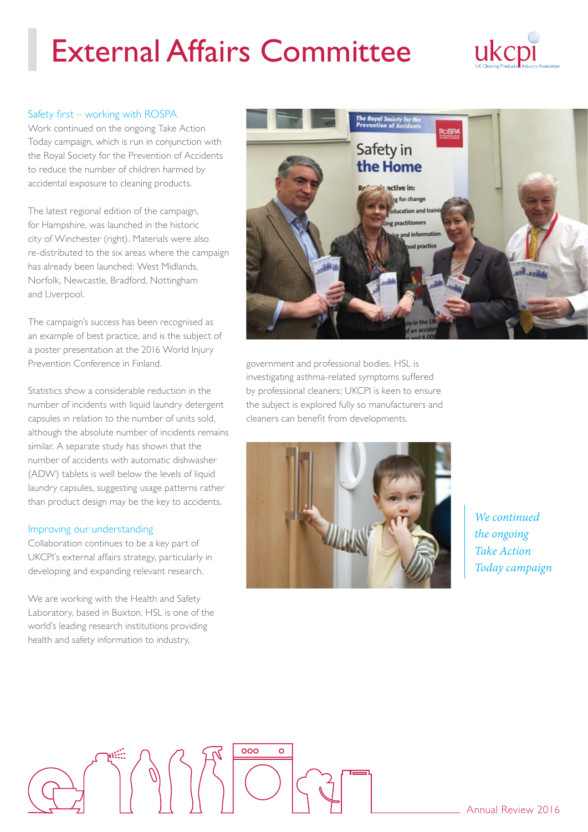# External Affairs Committee



### Safety first – working with ROSPA

Work continued on the ongoing Take Action Today campaign, which is run in conjunction with the Royal Society for the Prevention of Accidents to reduce the number of children harmed by accidental exposure to cleaning products.

The latest regional edition of the campaign, for Hampshire, was launched in the historic city of Winchester (right). Materials were also re-distributed to the six areas where the campaign has already been launched: West Midlands, Norfolk, Newcastle, Bradford, Nottingham and Liverpool.

The campaign's success has been recognised as an example of best practice, and is the subject of a poster presentation at the 2016 World Injury Prevention Conference in Finland.

Statistics show a considerable reduction in the number of incidents with liquid laundry detergent capsules in relation to the number of units sold, although the absolute number of incidents remains similar. A separate study has shown that the number of accidents with automatic dishwasher (ADW) tablets is well below the levels of liquid laundry capsules, suggesting usage patterns rather than product design may be the key to accidents.

#### Improving our understanding

Collaboration continues to be a key part of UKCPI's external affairs strategy, particularly in developing and expanding relevant research.

We are working with the Health and Safety Laboratory, based in Buxton. HSL is one of the world's leading research institutions providing health and safety information to industry,



government and professional bodies. HSL is investigating asthma-related symptoms suffered by professional cleaners; UKCPI is keen to ensure the subject is explored fully so manufacturers and cleaners can benefit from developments.



*We continued the ongoing Take Action Today campaign*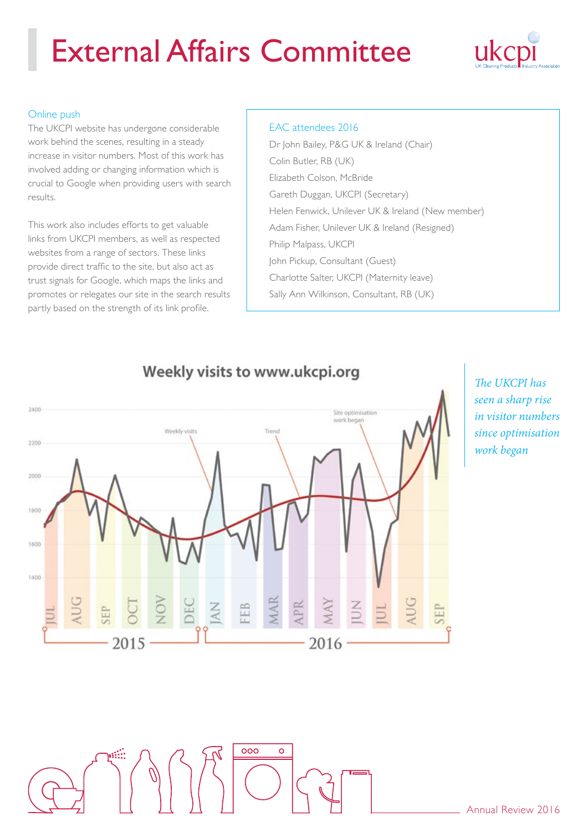# External Affairs Committee



### Online push

The UKCPI website has undergone considerable work behind the scenes, resulting in a steady increase in visitor numbers. Most of this work has involved adding or changing information which is crucial to Google when providing users with search results.

This work also includes efforts to get valuable links from UKCPI members, as well as respected websites from a range of sectors. These links provide direct traffic to the site, but also act as trust signals for Google, which maps the links and promotes or relegates our site in the search results partly based on the strength of its link profile.

### EAC attendees 2016

Dr John Bailey, P&G UK & Ireland (Chair) Colin Butler, RB (UK) Elizabeth Colson, McBride Gareth Duggan, UKCPI (Secretary) Helen Fenwick, Unilever UK & Ireland (New member) Adam Fisher, Unilever UK & Ireland (Resigned) Philip Malpass, UKCPI John Pickup, Consultant (Guest) Charlotte Salter, UKCPI (Maternity leave) Sally Ann Wilkinson, Consultant, RB (UK)



 $000$ 

# The UKCPI has *seen a sharp rise in visitor numbers since optimisation work began*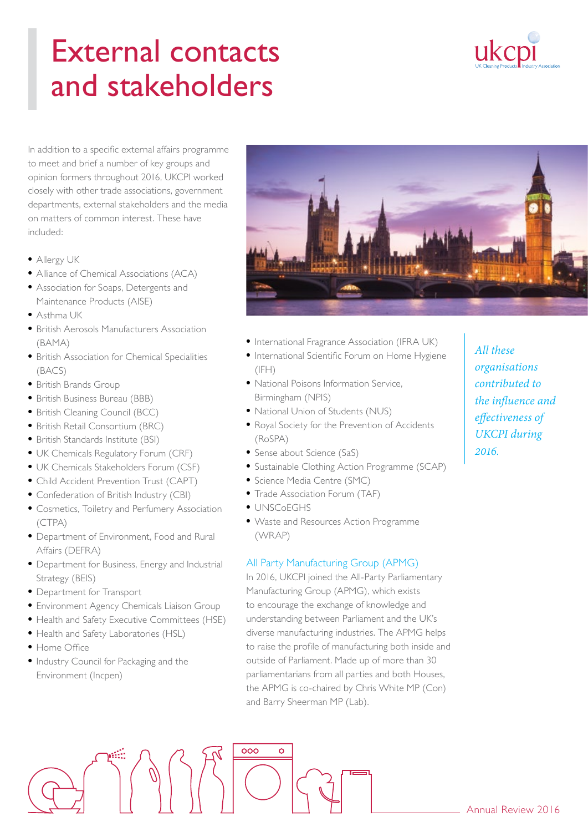# External contacts and stakeholders



In addition to a specific external affairs programme to meet and brief a number of key groups and opinion formers throughout 2016, UKCPI worked closely with other trade associations, government departments, external stakeholders and the media on matters of common interest. These have included:

- Allergy UK
- Alliance of Chemical Associations (ACA)
- Association for Soaps, Detergents and Maintenance Products (AISE)
- Asthma UK
- British Aerosols Manufacturers Association (BAMA)
- British Association for Chemical Specialities (BACS)
- British Brands Group
- British Business Bureau (BBB)
- British Cleaning Council (BCC)
- British Retail Consortium (BRC)
- British Standards Institute (BSI)
- UK Chemicals Regulatory Forum (CRF)
- UK Chemicals Stakeholders Forum (CSF)
- Child Accident Prevention Trust (CAPT)
- Confederation of British Industry (CBI)
- Cosmetics, Toiletry and Perfumery Association (CTPA)
- Department of Environment, Food and Rural Affairs (DEFRA)
- Department for Business, Energy and Industrial Strategy (BEIS)
- Department for Transport
- Environment Agency Chemicals Liaison Group
- Health and Safety Executive Committees (HSE)
- Health and Safety Laboratories (HSL)
- Home Office
- Industry Council for Packaging and the Environment (Incpen)



- International Fragrance Association (IFRA UK)
- International Scientific Forum on Home Hygiene  $(IFH)$
- National Poisons Information Service, Birmingham (NPIS)
- National Union of Students (NUS)
- Royal Society for the Prevention of Accidents (RoSPA)
- Sense about Science (SaS)
- Sustainable Clothing Action Programme (SCAP)
- Science Media Centre (SMC)
- Trade Association Forum (TAF)
- UNSCoEGHS
- Waste and Resources Action Programme (WRAP)

#### All Party Manufacturing Group (APMG)

In 2016, UKCPI joined the All-Party Parliamentary Manufacturing Group (APMG), which exists to encourage the exchange of knowledge and understanding between Parliament and the UK's diverse manufacturing industries. The APMG helps to raise the profile of manufacturing both inside and outside of Parliament. Made up of more than 30 parliamentarians from all parties and both Houses, the APMG is co-chaired by Chris White MP (Con) and Barry Sheerman MP (Lab).

*All these organisations contributed to the influence and effectiveness of UKCPI during 2016.*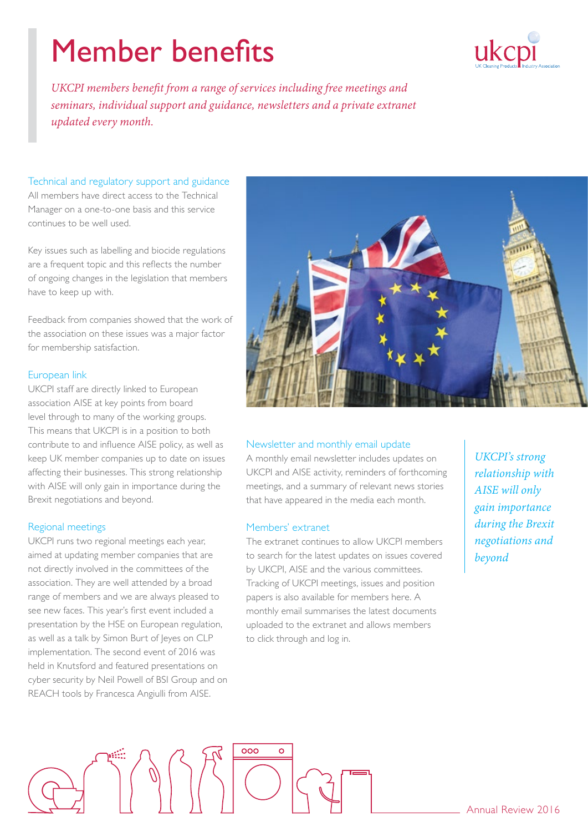# Member benefits



*UKCPI members benefit from a range of services including free meetings and seminars, individual support and guidance, newsletters and a private extranet updated every month.*

# Technical and regulatory support and guidance

All members have direct access to the Technical Manager on a one-to-one basis and this service continues to be well used.

Key issues such as labelling and biocide regulations are a frequent topic and this reflects the number of ongoing changes in the legislation that members have to keep up with.

Feedback from companies showed that the work of the association on these issues was a major factor for membership satisfaction.

### European link

UKCPI staff are directly linked to European association AISE at key points from board level through to many of the working groups. This means that UKCPI is in a position to both contribute to and influence AISE policy, as well as keep UK member companies up to date on issues affecting their businesses. This strong relationship with AISE will only gain in importance during the Brexit negotiations and beyond.

### Regional meetings

UKCPI runs two regional meetings each year, aimed at updating member companies that are not directly involved in the committees of the association. They are well attended by a broad range of members and we are always pleased to see new faces. This year's first event included a presentation by the HSE on European regulation, as well as a talk by Simon Burt of Jeyes on CLP implementation. The second event of 2016 was held in Knutsford and featured presentations on cyber security by Neil Powell of BSI Group and on REACH tools by Francesca Angiulli from AISE.



### Newsletter and monthly email update

A monthly email newsletter includes updates on UKCPI and AISE activity, reminders of forthcoming meetings, and a summary of relevant news stories that have appeared in the media each month.

### Members' extranet

The extranet continues to allow UKCPI members to search for the latest updates on issues covered by UKCPI, AISE and the various committees. Tracking of UKCPI meetings, issues and position papers is also available for members here. A monthly email summarises the latest documents uploaded to the extranet and allows members to click through and log in.

*UKCPI's strong relationship with AISE will only gain importance during the Brexit negotiations and beyond*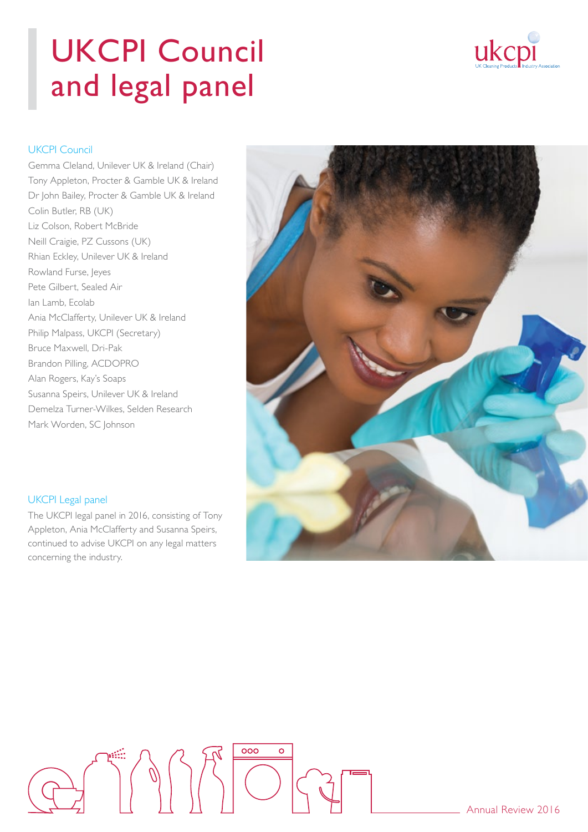# UKCPI Council and legal panel



# UKCPI Council

Gemma Cleland, Unilever UK & Ireland (Chair) Tony Appleton, Procter & Gamble UK & Ireland Dr John Bailey, Procter & Gamble UK & Ireland Colin Butler, RB (UK) Liz Colson, Robert McBride Neill Craigie, PZ Cussons (UK) Rhian Eckley, Unilever UK & Ireland Rowland Furse, Jeyes Pete Gilbert, Sealed Air Ian Lamb, Ecolab Ania McClafferty, Unilever UK & Ireland Philip Malpass, UKCPI (Secretary) Bruce Maxwell, Dri-Pak Brandon Pilling, ACDOPRO Alan Rogers, Kay's Soaps Susanna Speirs, Unilever UK & Ireland Demelza Turner-Wilkes, Selden Research Mark Worden, SC Johnson



## UKCPI Legal panel

The UKCPI legal panel in 2016, consisting of Tony Appleton, Ania McClafferty and Susanna Speirs, continued to advise UKCPI on any legal matters concerning the industry.